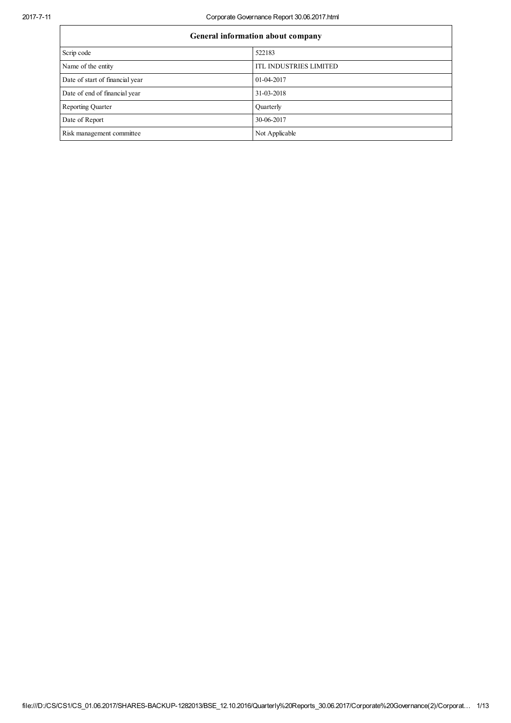## 2017711 Corporate Governance Report 30.06.2017.html

| General information about company |                               |  |  |  |
|-----------------------------------|-------------------------------|--|--|--|
| Scrip code                        | 522183                        |  |  |  |
| Name of the entity                | <b>ITL INDUSTRIES LIMITED</b> |  |  |  |
| Date of start of financial year   | 01-04-2017                    |  |  |  |
| Date of end of financial year     | 31-03-2018                    |  |  |  |
| <b>Reporting Quarter</b>          | Quarterly                     |  |  |  |
| Date of Report                    | 30-06-2017                    |  |  |  |
| Risk management committee         | Not Applicable                |  |  |  |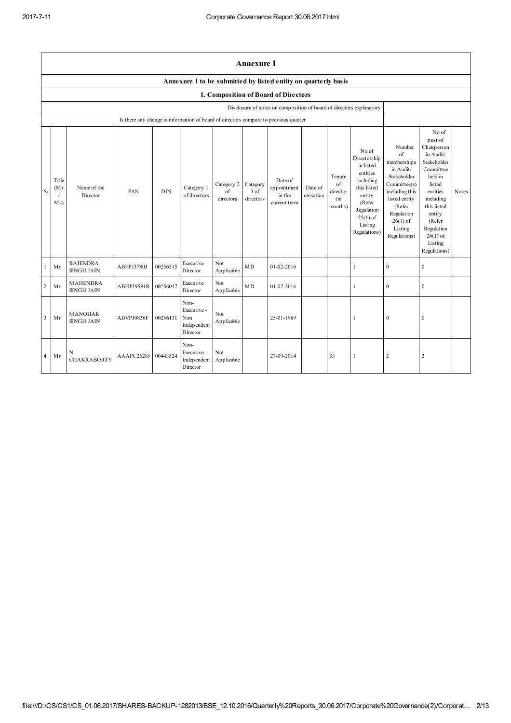|                | <b>Annexure I</b>    |                                      |            |            |                                                       |                               |                               |                                                                                      |                      |                                            |                                                                                                                                                       |                                                                                                                                                                             |                                                                                                                                                                                                                  |       |
|----------------|----------------------|--------------------------------------|------------|------------|-------------------------------------------------------|-------------------------------|-------------------------------|--------------------------------------------------------------------------------------|----------------------|--------------------------------------------|-------------------------------------------------------------------------------------------------------------------------------------------------------|-----------------------------------------------------------------------------------------------------------------------------------------------------------------------------|------------------------------------------------------------------------------------------------------------------------------------------------------------------------------------------------------------------|-------|
|                |                      |                                      |            |            |                                                       |                               |                               | Annexure I to be submitted by listed entity on quarterly basis                       |                      |                                            |                                                                                                                                                       |                                                                                                                                                                             |                                                                                                                                                                                                                  |       |
|                |                      |                                      |            |            |                                                       |                               |                               | I. Composition of Board of Directors                                                 |                      |                                            |                                                                                                                                                       |                                                                                                                                                                             |                                                                                                                                                                                                                  |       |
|                |                      |                                      |            |            |                                                       |                               |                               | Disclosure of notes on composition of board of directors explanatory                 |                      |                                            |                                                                                                                                                       |                                                                                                                                                                             |                                                                                                                                                                                                                  |       |
|                |                      |                                      |            |            |                                                       |                               |                               | Is there any change in information of board of directors compare to previous quarter |                      |                                            |                                                                                                                                                       |                                                                                                                                                                             |                                                                                                                                                                                                                  |       |
| <b>Sr</b>      | Title<br>(Mr)<br>Ms) | Name of the<br>Director              | <b>PAN</b> | <b>DIN</b> | Category 1<br>of directors                            | Category 2<br>of<br>directors | Category<br>3 of<br>directors | Date of<br>appointment<br>in the<br>current term                                     | Date of<br>cessation | Tenure<br>of<br>director<br>(in<br>months) | No of<br>Directorship<br>in listed<br>entities<br>including<br>this listed<br>entity<br>(Refer<br>Regulation<br>$25(1)$ of<br>Listing<br>Regulations) | Number<br>of<br>memberships<br>in Audit/<br>Stakeholder<br>Committee(s)<br>including this<br>listed entity<br>(Refer<br>Regulation<br>$26(1)$ of<br>Listing<br>Regulations) | No of<br>post of<br>Chairperson<br>in Audit/<br>Stakeholder<br>Committee<br>held in<br>listed<br>entities<br>including<br>this listed<br>entity<br>(Refer<br>Regulation<br>$26(1)$ of<br>Listing<br>Regulations) | Notes |
| $\mathbf{1}$   | Mr                   | <b>RAJENDRA</b><br><b>SINGH JAIN</b> | ABFPJ3780J | 00256515   | Executive<br>Director                                 | Not<br>Applicable             | <b>MD</b>                     | $01-02-2016$                                                                         |                      |                                            | $\mathbf{1}$                                                                                                                                          | $\mathbf{0}$                                                                                                                                                                | $\mathbf{0}$                                                                                                                                                                                                     |       |
| $\overline{2}$ | Mr                   | <b>MAHENDRA</b><br><b>SINGH JAIN</b> | ABHPJ9591R | 00256047   | Executive<br>Director                                 | Not<br>Applicable             | MD                            | $01-02-2016$                                                                         |                      |                                            | 1                                                                                                                                                     | $\theta$                                                                                                                                                                    | $\mathbf{0}$                                                                                                                                                                                                     |       |
| $\overline{3}$ | Mr                   | <b>MANOHAR</b><br><b>SINGH JAIN</b>  | ABVPJ0836F | 00256131   | Non-<br>Executive -<br>Non<br>Independent<br>Director | Not<br>Applicable             |                               | 25-01-1989                                                                           |                      |                                            | $\mathbf{1}$                                                                                                                                          | $\mathbf{0}$                                                                                                                                                                | $\mathbf{0}$                                                                                                                                                                                                     |       |
| $\overline{4}$ | Mr                   | N<br><b>CHAKRABORTY</b>              | AAAPC2628J | 00443524   | Non-<br>Executive -<br>Independent<br>Director        | Not<br>Applicable             |                               | 27-09-2014                                                                           |                      | 33                                         | 1                                                                                                                                                     | 2                                                                                                                                                                           | $\overline{c}$                                                                                                                                                                                                   |       |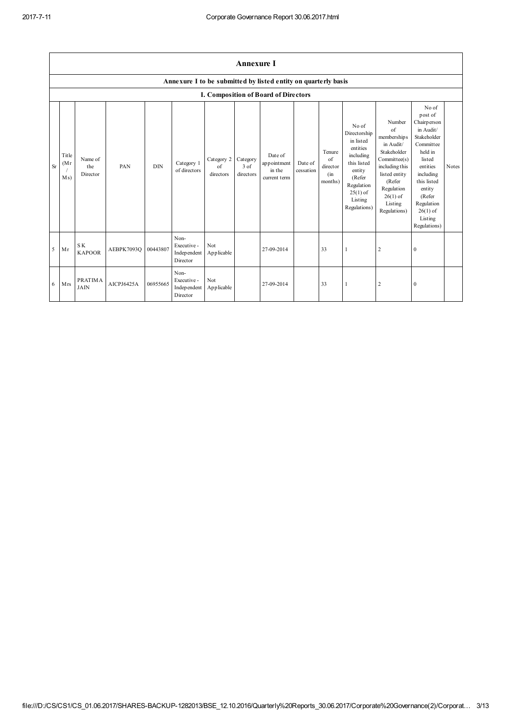|                | <b>Annexure I</b>     |                               |            |            |                                                |                               |                                 |                                                                |                      |                                            |                                                                                                                                                       |                                                                                                                                                                                     |                                                                                                                                                                                                                  |       |
|----------------|-----------------------|-------------------------------|------------|------------|------------------------------------------------|-------------------------------|---------------------------------|----------------------------------------------------------------|----------------------|--------------------------------------------|-------------------------------------------------------------------------------------------------------------------------------------------------------|-------------------------------------------------------------------------------------------------------------------------------------------------------------------------------------|------------------------------------------------------------------------------------------------------------------------------------------------------------------------------------------------------------------|-------|
|                |                       |                               |            |            |                                                |                               |                                 | Annexure I to be submitted by listed entity on quarterly basis |                      |                                            |                                                                                                                                                       |                                                                                                                                                                                     |                                                                                                                                                                                                                  |       |
|                |                       |                               |            |            |                                                |                               |                                 | I. Composition of Board of Directors                           |                      |                                            |                                                                                                                                                       |                                                                                                                                                                                     |                                                                                                                                                                                                                  |       |
| <b>Sr</b>      | Title<br>(Mr)<br>M s) | Name of<br>the<br>Director    | PAN        | <b>DIN</b> | Category 1<br>of directors                     | Category 2<br>of<br>directors | Category<br>$3$ of<br>directors | Date of<br>appointment<br>in the<br>current term               | Date of<br>cessation | Tenure<br>of<br>director<br>(in<br>months) | No of<br>Directorship<br>in listed<br>entities<br>including<br>this listed<br>entity<br>(Refer<br>Regulation<br>$25(1)$ of<br>Listing<br>Regulations) | Number<br>$\sigma$ f<br>memberships<br>in Audit/<br>Stakeholder<br>Committee(s)<br>including this<br>listed entity<br>(Refer<br>Regulation<br>$26(1)$ of<br>Listing<br>Regulations) | No of<br>post of<br>Chairperson<br>in Audit/<br>Stakeholder<br>Committee<br>held in<br>listed<br>entities<br>including<br>this listed<br>entity<br>(Refer<br>Regulation<br>$26(1)$ of<br>Listing<br>Regulations) | Notes |
| $\overline{5}$ | Mr                    | SK.<br><b>KAPOOR</b>          | AEBPK7093Q | 00443807   | Non-<br>Executive -<br>Independent<br>Director | Not<br>Applicable             |                                 | 27-09-2014                                                     |                      | 33                                         | $\overline{1}$                                                                                                                                        | $\sqrt{2}$                                                                                                                                                                          | $\mathbf{0}$                                                                                                                                                                                                     |       |
| 6              | Mrs                   | <b>PRATIMA</b><br><b>JAIN</b> | AICPJ6425A | 06955665   | Non-<br>Executive -<br>Independent<br>Director | Not<br>Applicable             |                                 | 27-09-2014                                                     |                      | 33                                         | $\mathbf{1}$                                                                                                                                          | $\sqrt{2}$                                                                                                                                                                          | $\mathbf{0}$                                                                                                                                                                                                     |       |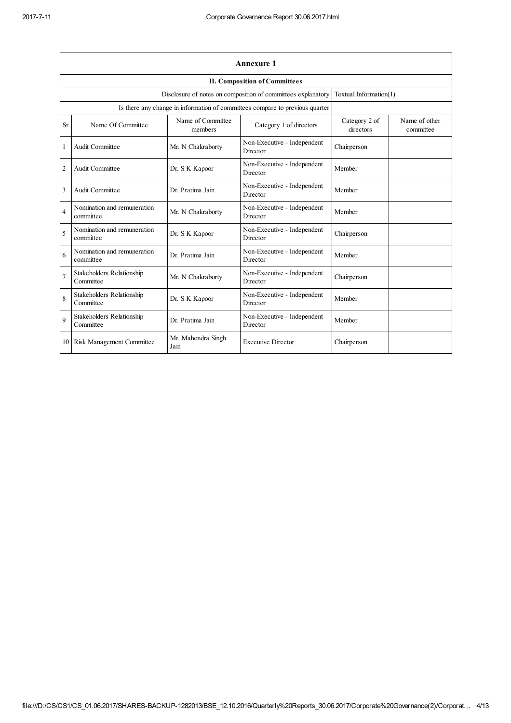|                | <b>Annexure 1</b>                        |                              |                                                                              |                            |                            |  |
|----------------|------------------------------------------|------------------------------|------------------------------------------------------------------------------|----------------------------|----------------------------|--|
|                |                                          |                              | <b>II. Composition of Committees</b>                                         |                            |                            |  |
|                |                                          |                              | Disclosure of notes on composition of committees explanatory                 | Textual Information(1)     |                            |  |
|                |                                          |                              | Is there any change in information of committees compare to previous quarter |                            |                            |  |
| Sr             | Name Of Committee                        | Name of Committee<br>members | Category 1 of directors                                                      | Category 2 of<br>directors | Name of other<br>committee |  |
| 1              | Audit Committee                          | Mr. N Chakraborty            | Non-Executive - Independent<br>Director                                      | Chairperson                |                            |  |
| $\overline{c}$ | Audit Committee                          | Dr. S K Kapoor               | Non-Executive - Independent<br>Director                                      | Member                     |                            |  |
| 3              | Audit Committee                          | Dr. Pratima Jain             | Non-Executive - Independent<br>Director                                      | Member                     |                            |  |
| $\overline{4}$ | Nomination and remuneration<br>committee | Mr. N Chakraborty            | Non-Executive - Independent<br>Director                                      | Member                     |                            |  |
| 5              | Nomination and remuneration<br>committee | Dr. S K Kapoor               | Non-Executive - Independent<br>Director                                      | Chairperson                |                            |  |
| 6              | Nomination and remuneration<br>committee | Dr. Pratima Jain             | Non-Executive - Independent<br>Director                                      | Member                     |                            |  |
|                | Stakeholders Relationship<br>Committee   | Mr. N Chakraborty            | Non-Executive - Independent<br>Director                                      | Chairperson                |                            |  |
| 8              | Stakeholders Relationship<br>Committee   | Dr. S K Kapoor               | Non-Executive - Independent<br>Director                                      | Member                     |                            |  |
| $\mathbf Q$    | Stakeholders Relationship<br>Committee   | Dr. Pratima Jain             | Non-Executive - Independent<br>Director                                      | Member                     |                            |  |
|                | 10 Risk Management Committee             | Mr. Mahendra Singh<br>Jain   | <b>Executive Director</b>                                                    | Chairperson                |                            |  |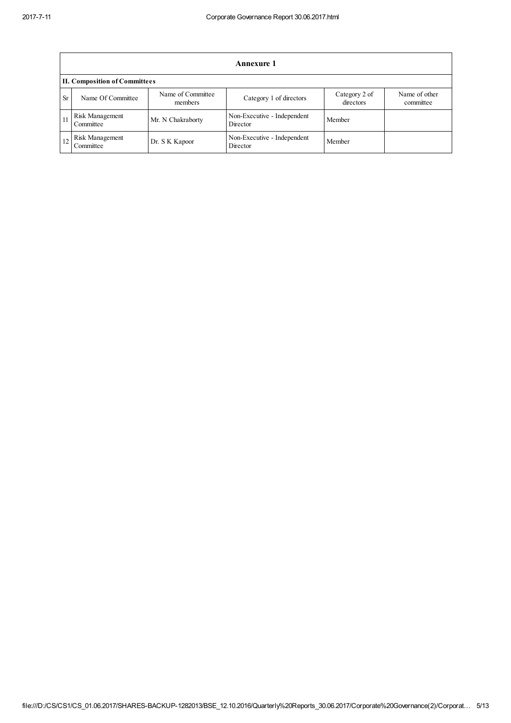|           | Annexure 1                           |                              |                                         |                            |                            |  |  |  |
|-----------|--------------------------------------|------------------------------|-----------------------------------------|----------------------------|----------------------------|--|--|--|
|           | <b>II. Composition of Committees</b> |                              |                                         |                            |                            |  |  |  |
| <b>Sr</b> | Name Of Committee                    | Name of Committee<br>members | Category 1 of directors                 | Category 2 of<br>directors | Name of other<br>committee |  |  |  |
| 11        | Risk Management<br>Committee         | Mr. N Chakraborty            | Non-Executive - Independent<br>Director | Member                     |                            |  |  |  |
| 12        | Risk Management<br>Committee         | Dr. S K Kapoor               | Non-Executive - Independent<br>Director | Member                     |                            |  |  |  |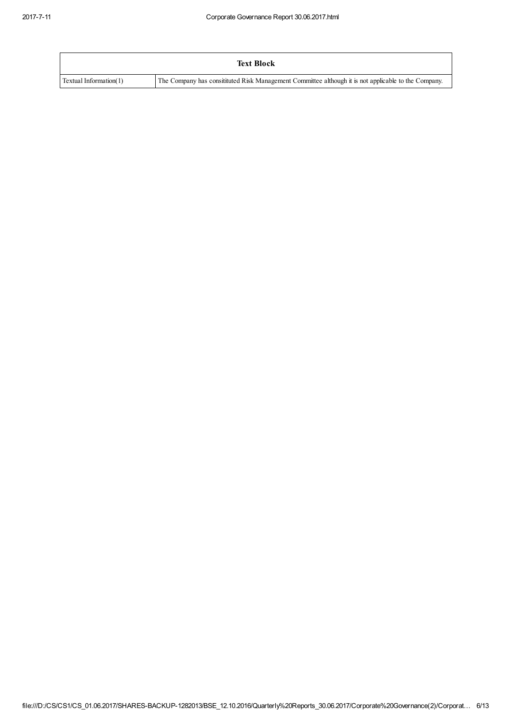|                        | <b>Text Block</b>                                                                                   |
|------------------------|-----------------------------------------------------------------------------------------------------|
| Textual Information(1) | The Company has constituted Risk Management Committee although it is not applicable to the Company. |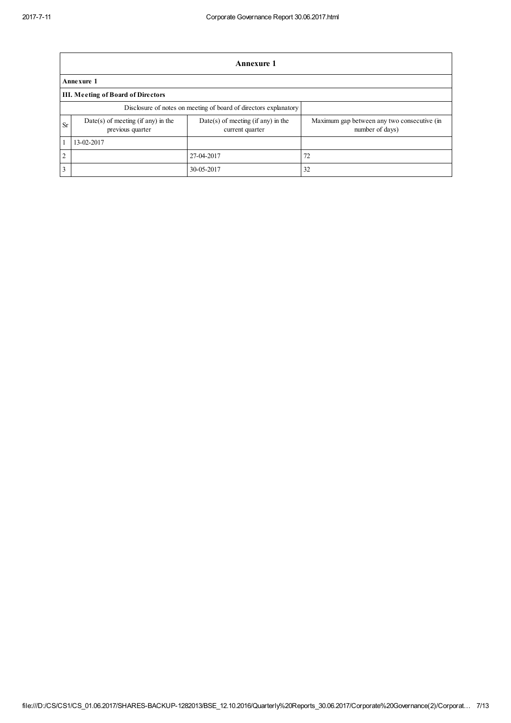|                | Annexure 1                                                       |                                                         |                                                                |  |  |  |  |
|----------------|------------------------------------------------------------------|---------------------------------------------------------|----------------------------------------------------------------|--|--|--|--|
|                | Annexure 1                                                       |                                                         |                                                                |  |  |  |  |
|                | III. Meeting of Board of Directors                               |                                                         |                                                                |  |  |  |  |
|                | Disclosure of notes on meeting of board of directors explanatory |                                                         |                                                                |  |  |  |  |
| Sr             | $Date(s)$ of meeting (if any) in the<br>previous quarter         | $Date(s)$ of meeting (if any) in the<br>current quarter | Maximum gap between any two consecutive (in<br>number of days) |  |  |  |  |
|                | 13-02-2017                                                       |                                                         |                                                                |  |  |  |  |
| $\overline{2}$ |                                                                  | 27-04-2017                                              | 72                                                             |  |  |  |  |
| 3              |                                                                  | 30-05-2017                                              | 32                                                             |  |  |  |  |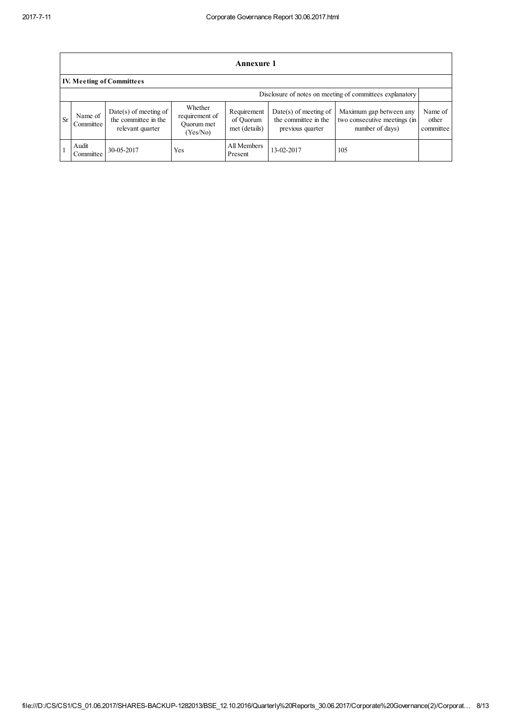|           | <b>Annexure 1</b>                                        |                                                                     |                                                     |                                           |                                                                     |                                                                            |                               |  |
|-----------|----------------------------------------------------------|---------------------------------------------------------------------|-----------------------------------------------------|-------------------------------------------|---------------------------------------------------------------------|----------------------------------------------------------------------------|-------------------------------|--|
|           | <b>IV. Meeting of Committees</b>                         |                                                                     |                                                     |                                           |                                                                     |                                                                            |                               |  |
|           | Disclosure of notes on meeting of committees explanatory |                                                                     |                                                     |                                           |                                                                     |                                                                            |                               |  |
| <b>Sr</b> | Name of<br>Committee                                     | $Date(s)$ of meeting of<br>the committee in the<br>relevant quarter | Whether<br>requirement of<br>Ouorum met<br>(Yes/No) | Requirement<br>of Ouorum<br>met (details) | $Date(s)$ of meeting of<br>the committee in the<br>previous quarter | Maximum gap between any<br>two consecutive meetings (in<br>number of days) | Name of<br>other<br>committee |  |
|           | Audit<br>Committee                                       | 30-05-2017                                                          | Yes                                                 | All Members<br>Present                    | 13-02-2017                                                          | 105                                                                        |                               |  |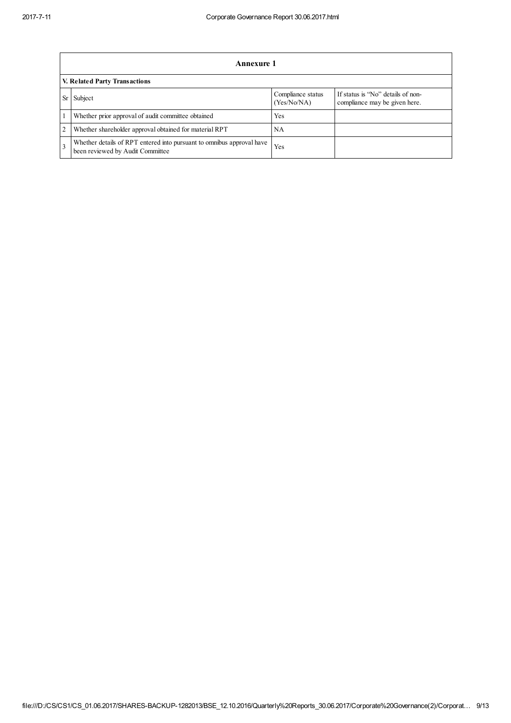|                | <b>Annexure 1</b>                                                                                         |                                  |                                                                    |  |  |  |  |
|----------------|-----------------------------------------------------------------------------------------------------------|----------------------------------|--------------------------------------------------------------------|--|--|--|--|
|                | V. Related Party Transactions                                                                             |                                  |                                                                    |  |  |  |  |
|                | Subject                                                                                                   | Compliance status<br>(Yes/No/NA) | If status is "No" details of non-<br>compliance may be given here. |  |  |  |  |
|                | Whether prior approval of audit committee obtained                                                        | Yes                              |                                                                    |  |  |  |  |
| $\overline{2}$ | Whether shareholder approval obtained for material RPT                                                    | NA                               |                                                                    |  |  |  |  |
| $\overline{3}$ | Whether details of RPT entered into pursuant to omnibus approval have<br>been reviewed by Audit Committee | Yes                              |                                                                    |  |  |  |  |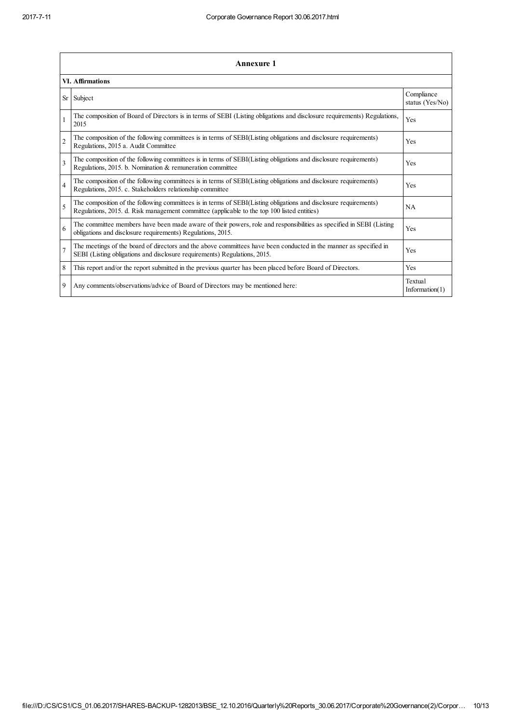|                | <b>Annexure 1</b>                                                                                                                                                                                               |                               |  |  |  |  |  |
|----------------|-----------------------------------------------------------------------------------------------------------------------------------------------------------------------------------------------------------------|-------------------------------|--|--|--|--|--|
|                | <b>VI. Affirmations</b>                                                                                                                                                                                         |                               |  |  |  |  |  |
| Sr             | Subject                                                                                                                                                                                                         | Compliance<br>status (Yes/No) |  |  |  |  |  |
|                | The composition of Board of Directors is in terms of SEBI (Listing obligations and disclosure requirements) Regulations,<br>2015                                                                                | Yes                           |  |  |  |  |  |
| $\overline{2}$ | The composition of the following committees is in terms of SEBI(Listing obligations and disclosure requirements)<br>Regulations, 2015 a. Audit Committee                                                        | Yes                           |  |  |  |  |  |
| $\overline{3}$ | The composition of the following committees is in terms of SEBI(Listing obligations and disclosure requirements)<br>Regulations, 2015. b. Nomination & remuneration committee                                   | Yes                           |  |  |  |  |  |
| $\overline{4}$ | The composition of the following committees is in terms of SEBI(Listing obligations and disclosure requirements)<br>Regulations, 2015. c. Stakeholders relationship committee                                   | Yes                           |  |  |  |  |  |
| 5              | The composition of the following committees is in terms of SEBI(Listing obligations and disclosure requirements)<br>Regulations, 2015. d. Risk management committee (applicable to the top 100 listed entities) | <b>NA</b>                     |  |  |  |  |  |
| 6              | The committee members have been made aware of their powers, role and responsibilities as specified in SEBI (Listing<br>obligations and disclosure requirements) Regulations, 2015.                              | Yes                           |  |  |  |  |  |
|                | The meetings of the board of directors and the above committees have been conducted in the manner as specified in<br>SEBI (Listing obligations and disclosure requirements) Regulations, 2015.                  | Yes                           |  |  |  |  |  |
| 8              | This report and/or the report submitted in the previous quarter has been placed before Board of Directors.                                                                                                      | Yes                           |  |  |  |  |  |
| 9              | Any comments/observations/advice of Board of Directors may be mentioned here:                                                                                                                                   | Textual<br>Information $(1)$  |  |  |  |  |  |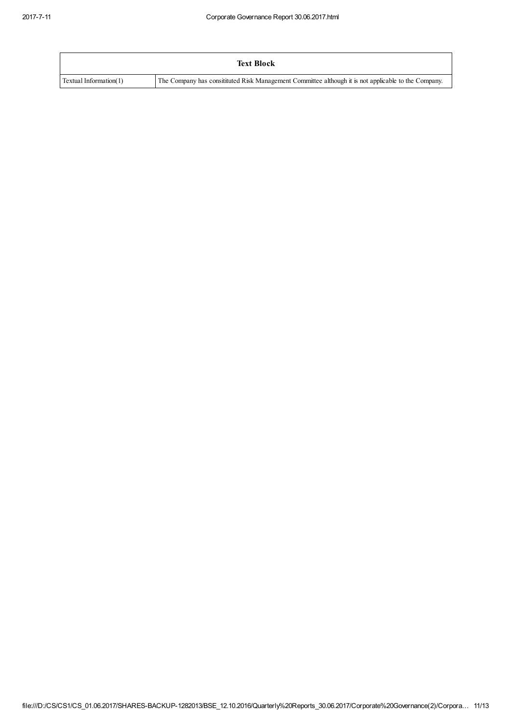|                        | <b>Text Block</b>                                                                                   |
|------------------------|-----------------------------------------------------------------------------------------------------|
| Textual Information(1) | The Company has constituted Risk Management Committee although it is not applicable to the Company. |